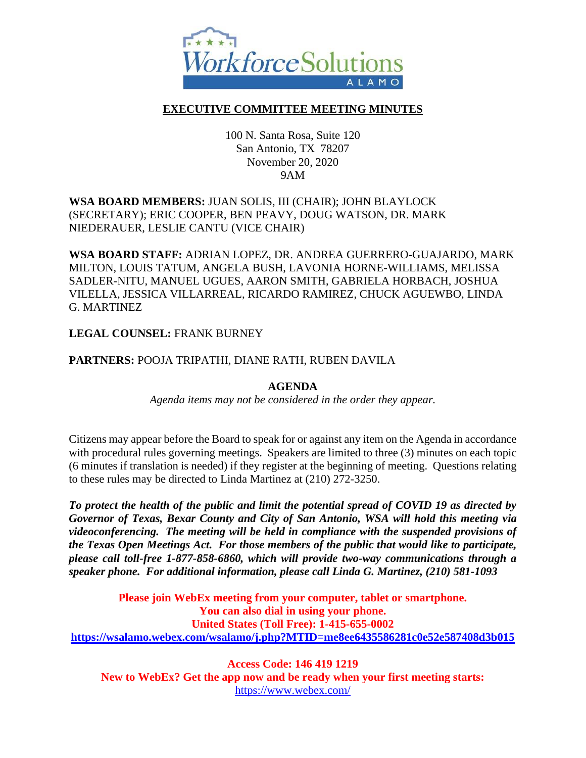

## **EXECUTIVE COMMITTEE MEETING MINUTES**

100 N. Santa Rosa, Suite 120 San Antonio, TX 78207 November 20, 2020 9AM

## **WSA BOARD MEMBERS:** JUAN SOLIS, III (CHAIR); JOHN BLAYLOCK (SECRETARY); ERIC COOPER, BEN PEAVY, DOUG WATSON, DR. MARK NIEDERAUER, LESLIE CANTU (VICE CHAIR)

**WSA BOARD STAFF:** ADRIAN LOPEZ, DR. ANDREA GUERRERO-GUAJARDO, MARK MILTON, LOUIS TATUM, ANGELA BUSH, LAVONIA HORNE-WILLIAMS, MELISSA SADLER-NITU, MANUEL UGUES, AARON SMITH, GABRIELA HORBACH, JOSHUA VILELLA, JESSICA VILLARREAL, RICARDO RAMIREZ, CHUCK AGUEWBO, LINDA G. MARTINEZ

### **LEGAL COUNSEL:** FRANK BURNEY

### **PARTNERS:** POOJA TRIPATHI, DIANE RATH, RUBEN DAVILA

### **AGENDA**

*Agenda items may not be considered in the order they appear.*

Citizens may appear before the Board to speak for or against any item on the Agenda in accordance with procedural rules governing meetings. Speakers are limited to three (3) minutes on each topic (6 minutes if translation is needed) if they register at the beginning of meeting. Questions relating to these rules may be directed to Linda Martinez at (210) 272-3250.

*To protect the health of the public and limit the potential spread of COVID 19 as directed by Governor of Texas, Bexar County and City of San Antonio, WSA will hold this meeting via videoconferencing. The meeting will be held in compliance with the suspended provisions of the Texas Open Meetings Act. For those members of the public that would like to participate, please call toll-free 1-877-858-6860, which will provide two-way communications through a speaker phone. For additional information, please call Linda G. Martinez, (210) 581-1093*

**Please join WebEx meeting from your computer, tablet or smartphone. You can also dial in using your phone. United States (Toll Free): 1-415-655-0002 <https://wsalamo.webex.com/wsalamo/j.php?MTID=me8ee6435586281c0e52e587408d3b015>**

**Access Code: 146 419 1219 New to WebEx? Get the app now and be ready when your first meeting starts:**  <https://www.webex.com/>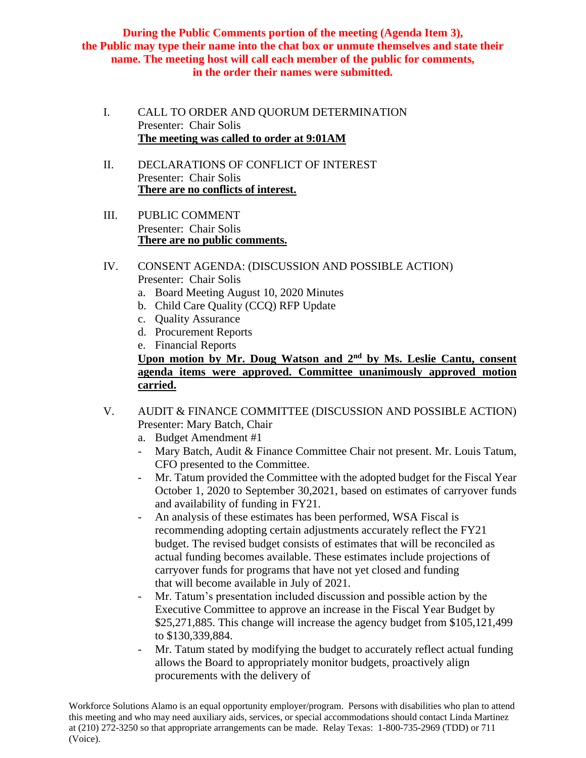**During the Public Comments portion of the meeting (Agenda Item 3), the Public may type their name into the chat box or unmute themselves and state their name. The meeting host will call each member of the public for comments, in the order their names were submitted.**

- I. CALL TO ORDER AND QUORUM DETERMINATION Presenter: Chair Solis **The meeting was called to order at 9:01AM**
- II. DECLARATIONS OF CONFLICT OF INTEREST Presenter: Chair Solis **There are no conflicts of interest.**
- III. PUBLIC COMMENT Presenter: Chair Solis **There are no public comments.**
- IV. CONSENT AGENDA: (DISCUSSION AND POSSIBLE ACTION) Presenter: Chair Solis
	- a. Board Meeting August 10, 2020 Minutes
	- b. Child Care Quality (CCQ) RFP Update
	- c. Quality Assurance
	- d. Procurement Reports
	- e. Financial Reports

## **Upon motion by Mr. Doug Watson and 2nd by Ms. Leslie Cantu, consent agenda items were approved. Committee unanimously approved motion carried.**

- V. AUDIT & FINANCE COMMITTEE (DISCUSSION AND POSSIBLE ACTION) Presenter: Mary Batch, Chair
	- a. Budget Amendment #1
	- Mary Batch, Audit & Finance Committee Chair not present. Mr. Louis Tatum, CFO presented to the Committee.
	- Mr. Tatum provided the Committee with the adopted budget for the Fiscal Year October 1, 2020 to September 30,2021, based on estimates of carryover funds and availability of funding in FY21.
	- An analysis of these estimates has been performed, WSA Fiscal is recommending adopting certain adjustments accurately reflect the FY21 budget. The revised budget consists of estimates that will be reconciled as actual funding becomes available. These estimates include projections of carryover funds for programs that have not yet closed and funding that will become available in July of 2021.
	- Mr. Tatum's presentation included discussion and possible action by the Executive Committee to approve an increase in the Fiscal Year Budget by \$25,271,885. This change will increase the agency budget from \$105,121,499 to \$130,339,884.
	- Mr. Tatum stated by modifying the budget to accurately reflect actual funding allows the Board to appropriately monitor budgets, proactively align procurements with the delivery of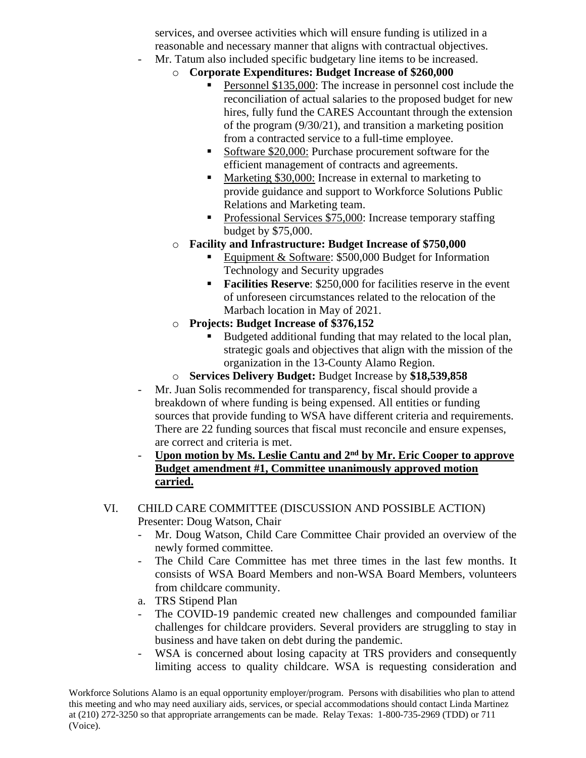services, and oversee activities which will ensure funding is utilized in a reasonable and necessary manner that aligns with contractual objectives.

- Mr. Tatum also included specific budgetary line items to be increased.
	- o **Corporate Expenditures: Budget Increase of \$260,000**
		- Personnel \$135,000: The increase in personnel cost include the reconciliation of actual salaries to the proposed budget for new hires, fully fund the CARES Accountant through the extension of the program (9/30/21), and transition a marketing position from a contracted service to a full-time employee.
		- Software \$20,000: Purchase procurement software for the efficient management of contracts and agreements.
		- Marketing \$30,000: Increase in external to marketing to provide guidance and support to Workforce Solutions Public Relations and Marketing team.
		- Professional Services \$75,000: Increase temporary staffing budget by \$75,000.
		- o **Facility and Infrastructure: Budget Increase of \$750,000**
			- Equipment & Software: \$500,000 Budget for Information Technology and Security upgrades
			- **Facilities Reserve:** \$250,000 for facilities reserve in the event of unforeseen circumstances related to the relocation of the Marbach location in May of 2021.
	- o **Projects: Budget Increase of \$376,152**
		- Budgeted additional funding that may related to the local plan, strategic goals and objectives that align with the mission of the organization in the 13-County Alamo Region.
	- o **Services Delivery Budget:** Budget Increase by **\$18,539,858**
- Mr. Juan Solis recommended for transparency, fiscal should provide a breakdown of where funding is being expensed. All entities or funding sources that provide funding to WSA have different criteria and requirements. There are 22 funding sources that fiscal must reconcile and ensure expenses, are correct and criteria is met.
- **Upon motion by Ms. Leslie Cantu and 2nd by Mr. Eric Cooper to approve Budget amendment #1, Committee unanimously approved motion carried.**

# VI. CHILD CARE COMMITTEE (DISCUSSION AND POSSIBLE ACTION) Presenter: Doug Watson, Chair

- Mr. Doug Watson, Child Care Committee Chair provided an overview of the newly formed committee.
- The Child Care Committee has met three times in the last few months. It consists of WSA Board Members and non-WSA Board Members, volunteers from childcare community.
- a. TRS Stipend Plan
- The COVID-19 pandemic created new challenges and compounded familiar challenges for childcare providers. Several providers are struggling to stay in business and have taken on debt during the pandemic.
- WSA is concerned about losing capacity at TRS providers and consequently limiting access to quality childcare. WSA is requesting consideration and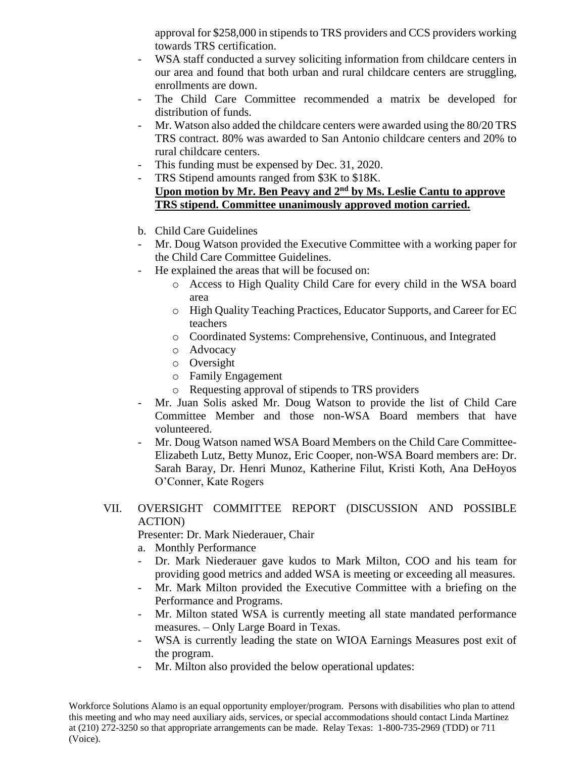approval for \$258,000 in stipends to TRS providers and CCS providers working towards TRS certification.

- WSA staff conducted a survey soliciting information from childcare centers in our area and found that both urban and rural childcare centers are struggling, enrollments are down.
- The Child Care Committee recommended a matrix be developed for distribution of funds.
- Mr. Watson also added the childcare centers were awarded using the 80/20 TRS TRS contract. 80% was awarded to San Antonio childcare centers and 20% to rural childcare centers.
- This funding must be expensed by Dec. 31, 2020.
- TRS Stipend amounts ranged from \$3K to \$18K. **Upon motion by Mr. Ben Peavy and 2nd by Ms. Leslie Cantu to approve TRS stipend. Committee unanimously approved motion carried.**
- b. Child Care Guidelines
- Mr. Doug Watson provided the Executive Committee with a working paper for the Child Care Committee Guidelines.
- He explained the areas that will be focused on:
	- o Access to High Quality Child Care for every child in the WSA board area
	- o High Quality Teaching Practices, Educator Supports, and Career for EC teachers
	- o Coordinated Systems: Comprehensive, Continuous, and Integrated
	- o Advocacy
	- o Oversight
	- o Family Engagement
	- o Requesting approval of stipends to TRS providers
- Mr. Juan Solis asked Mr. Doug Watson to provide the list of Child Care Committee Member and those non-WSA Board members that have volunteered.
- Mr. Doug Watson named WSA Board Members on the Child Care Committee-Elizabeth Lutz, Betty Munoz, Eric Cooper, non-WSA Board members are: Dr. Sarah Baray, Dr. Henri Munoz, Katherine Filut, Kristi Koth, Ana DeHoyos O'Conner, Kate Rogers

# VII. OVERSIGHT COMMITTEE REPORT (DISCUSSION AND POSSIBLE ACTION)

Presenter: Dr. Mark Niederauer, Chair

- a. Monthly Performance
- Dr. Mark Niederauer gave kudos to Mark Milton, COO and his team for providing good metrics and added WSA is meeting or exceeding all measures.
- Mr. Mark Milton provided the Executive Committee with a briefing on the Performance and Programs.
- Mr. Milton stated WSA is currently meeting all state mandated performance measures. – Only Large Board in Texas.
- WSA is currently leading the state on WIOA Earnings Measures post exit of the program.
- Mr. Milton also provided the below operational updates: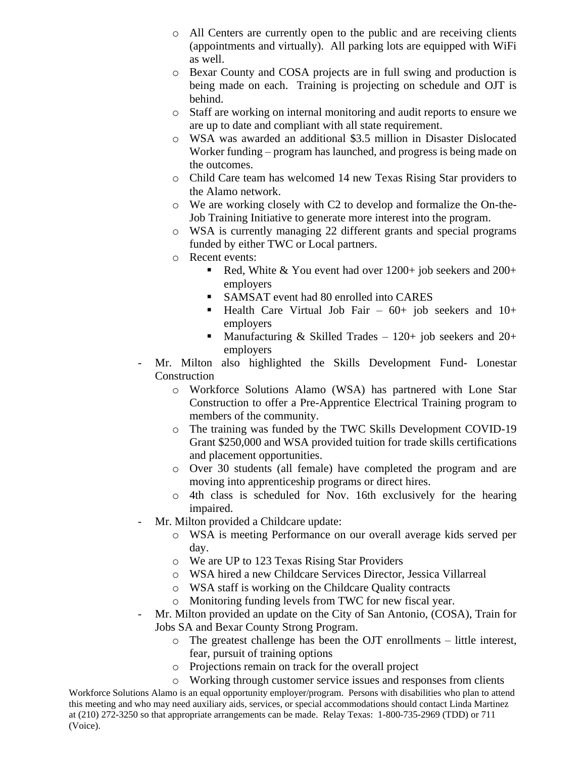- o All Centers are currently open to the public and are receiving clients (appointments and virtually). All parking lots are equipped with WiFi as well.
- o Bexar County and COSA projects are in full swing and production is being made on each. Training is projecting on schedule and OJT is behind.
- o Staff are working on internal monitoring and audit reports to ensure we are up to date and compliant with all state requirement.
- o WSA was awarded an additional \$3.5 million in Disaster Dislocated Worker funding – program has launched, and progress is being made on the outcomes.
- o Child Care team has welcomed 14 new Texas Rising Star providers to the Alamo network.
- o We are working closely with C2 to develop and formalize the On-the-Job Training Initiative to generate more interest into the program.
- o WSA is currently managing 22 different grants and special programs funded by either TWC or Local partners.
- o Recent events:
	- **•** Red, White & You event had over  $1200+$  job seekers and  $200+$ employers
	- SAMSAT event had 80 enrolled into CARES
	- **•** Health Care Virtual Job Fair  $60+$  job seekers and  $10+$ employers
	- **•** Manufacturing & Skilled Trades  $120+$  job seekers and  $20+$ employers
- Mr. Milton also highlighted the Skills Development Fund- Lonestar Construction
	- o Workforce Solutions Alamo (WSA) has partnered with Lone Star Construction to offer a Pre-Apprentice Electrical Training program to members of the community.
	- o The training was funded by the TWC Skills Development COVID-19 Grant \$250,000 and WSA provided tuition for trade skills certifications and placement opportunities.
	- o Over 30 students (all female) have completed the program and are moving into apprenticeship programs or direct hires.
	- o 4th class is scheduled for Nov. 16th exclusively for the hearing impaired.
- Mr. Milton provided a Childcare update:
	- o WSA is meeting Performance on our overall average kids served per day.
	- o We are UP to 123 Texas Rising Star Providers
	- o WSA hired a new Childcare Services Director, Jessica Villarreal
	- o WSA staff is working on the Childcare Quality contracts
	- o Monitoring funding levels from TWC for new fiscal year.
	- Mr. Milton provided an update on the City of San Antonio, (COSA), Train for Jobs SA and Bexar County Strong Program.
		- o The greatest challenge has been the OJT enrollments little interest, fear, pursuit of training options
		- o Projections remain on track for the overall project
		- o Working through customer service issues and responses from clients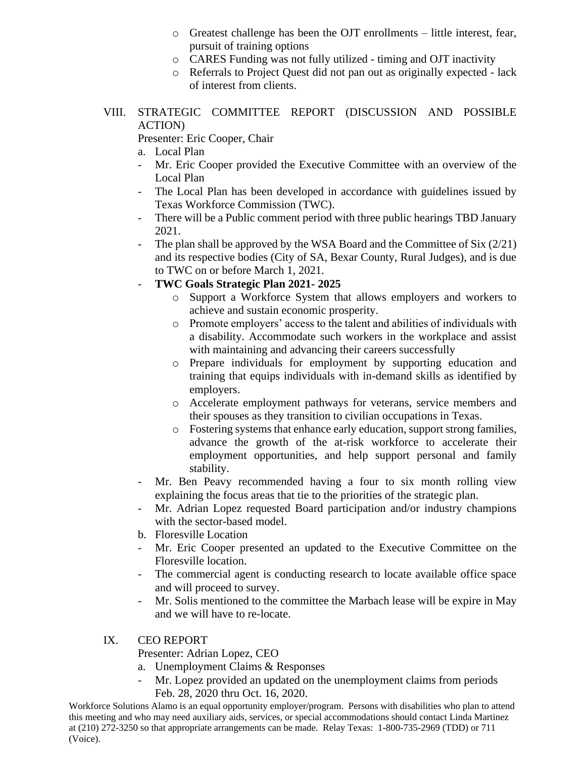- o Greatest challenge has been the OJT enrollments little interest, fear, pursuit of training options
- o CARES Funding was not fully utilized timing and OJT inactivity
- o Referrals to Project Quest did not pan out as originally expected lack of interest from clients.
- VIII. STRATEGIC COMMITTEE REPORT (DISCUSSION AND POSSIBLE ACTION)

Presenter: Eric Cooper, Chair

- a. Local Plan
- Mr. Eric Cooper provided the Executive Committee with an overview of the Local Plan
- The Local Plan has been developed in accordance with guidelines issued by Texas Workforce Commission (TWC).
- There will be a Public comment period with three public hearings TBD January 2021.
- The plan shall be approved by the WSA Board and the Committee of Six  $(2/21)$ and its respective bodies (City of SA, Bexar County, Rural Judges), and is due to TWC on or before March 1, 2021.

## - **TWC Goals Strategic Plan 2021- 2025**

- o Support a Workforce System that allows employers and workers to achieve and sustain economic prosperity.
- o Promote employers' access to the talent and abilities of individuals with a disability. Accommodate such workers in the workplace and assist with maintaining and advancing their careers successfully
- o Prepare individuals for employment by supporting education and training that equips individuals with in-demand skills as identified by employers.
- o Accelerate employment pathways for veterans, service members and their spouses as they transition to civilian occupations in Texas.
- o Fostering systems that enhance early education, support strong families, advance the growth of the at-risk workforce to accelerate their employment opportunities, and help support personal and family stability.
- Mr. Ben Peavy recommended having a four to six month rolling view explaining the focus areas that tie to the priorities of the strategic plan.
- Mr. Adrian Lopez requested Board participation and/or industry champions with the sector-based model.
- b. Floresville Location
- Mr. Eric Cooper presented an updated to the Executive Committee on the Floresville location.
- The commercial agent is conducting research to locate available office space and will proceed to survey.
- Mr. Solis mentioned to the committee the Marbach lease will be expire in May and we will have to re-locate.

### IX. CEO REPORT

Presenter: Adrian Lopez, CEO

- a. Unemployment Claims & Responses
- Mr. Lopez provided an updated on the unemployment claims from periods Feb. 28, 2020 thru Oct. 16, 2020.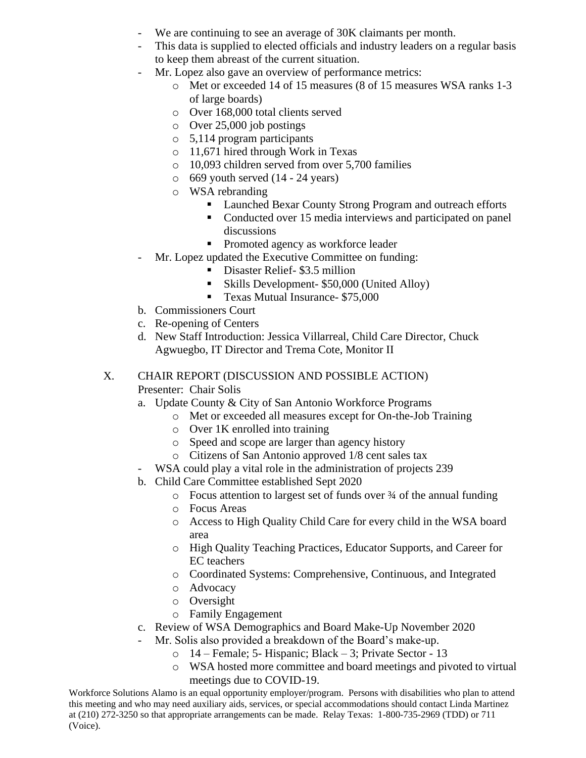- We are continuing to see an average of 30K claimants per month.
- This data is supplied to elected officials and industry leaders on a regular basis to keep them abreast of the current situation.
- Mr. Lopez also gave an overview of performance metrics:
	- o Met or exceeded 14 of 15 measures (8 of 15 measures WSA ranks 1-3 of large boards)
	- o Over 168,000 total clients served
	- o Over 25,000 job postings
	- o 5,114 program participants
	- o 11,671 hired through Work in Texas
	- o 10,093 children served from over 5,700 families
	- $\circ$  669 youth served (14 24 years)
	- o WSA rebranding
		- Launched Bexar County Strong Program and outreach efforts
		- Conducted over 15 media interviews and participated on panel discussions
		- Promoted agency as workforce leader
- Mr. Lopez updated the Executive Committee on funding:
	- Disaster Relief- \$3.5 million
	- Skills Development- \$50,000 (United Alloy)
	- Texas Mutual Insurance- \$75,000
- b. Commissioners Court
- c. Re-opening of Centers
- d. New Staff Introduction: Jessica Villarreal, Child Care Director, Chuck Agwuegbo, IT Director and Trema Cote, Monitor II

#### X. CHAIR REPORT (DISCUSSION AND POSSIBLE ACTION) Presenter: Chair Solis

- a. Update County & City of San Antonio Workforce Programs
	- o Met or exceeded all measures except for On-the-Job Training
	- o Over 1K enrolled into training
	- o Speed and scope are larger than agency history
	- o Citizens of San Antonio approved 1/8 cent sales tax
	- WSA could play a vital role in the administration of projects 239
- b. Child Care Committee established Sept 2020
	- o Focus attention to largest set of funds over ¾ of the annual funding
	- o Focus Areas
	- o Access to High Quality Child Care for every child in the WSA board area
	- o High Quality Teaching Practices, Educator Supports, and Career for EC teachers
	- o Coordinated Systems: Comprehensive, Continuous, and Integrated
	- o Advocacy
	- o Oversight
	- o Family Engagement
- c. Review of WSA Demographics and Board Make-Up November 2020
- Mr. Solis also provided a breakdown of the Board's make-up.
	- o 14 Female; 5- Hispanic; Black 3; Private Sector 13
	- o WSA hosted more committee and board meetings and pivoted to virtual meetings due to COVID-19.